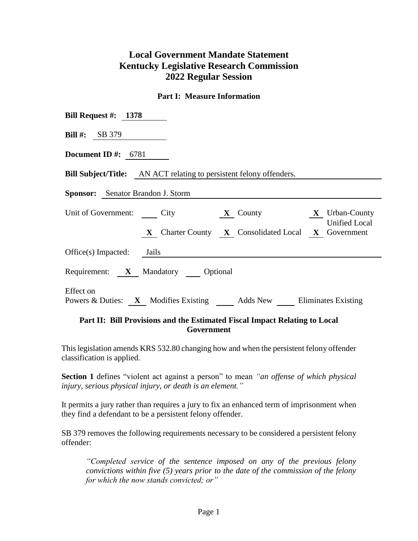# **Local Government Mandate Statement Kentucky Legislative Research Commission 2022 Regular Session**

#### **Part I: Measure Information**

| Bill Request #: $1378$                                                                 |
|----------------------------------------------------------------------------------------|
| <b>Bill #:</b> SB 379                                                                  |
| Document ID #: $6781$                                                                  |
| <b>Bill Subject/Title:</b> AN ACT relating to persistent felony offenders.             |
| <b>Sponsor:</b> Senator Brandon J. Storm                                               |
| Unit of Government: City <b>X</b> County <b>X</b> Urban-County<br><b>Unified Local</b> |
| X Charter County X Consolidated Local X Government                                     |
| $Office(s)$ Impacted: Jails                                                            |
| Requirement: X Mandatory Optional                                                      |
| Effect on<br>Powers & Duties: X Modifies Existing Adds New Eliminates Existing         |

## **Part II: Bill Provisions and the Estimated Fiscal Impact Relating to Local Government**

This legislation amends KRS 532.80 changing how and when the persistent felony offender classification is applied.

**Section 1** defines "violent act against a person" to mean *"an offense of which physical injury, serious physical injury, or death is an element."*

It permits a jury rather than requires a jury to fix an enhanced term of imprisonment when they find a defendant to be a persistent felony offender.

SB 379 removes the following requirements necessary to be considered a persistent felony offender:

*"Completed service of the sentence imposed on any of the previous felony convictions within five (5) years prior to the date of the commission of the felony for which the now stands convicted; or"*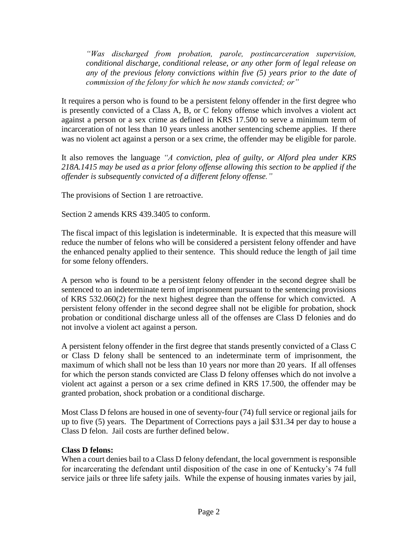*"Was discharged from probation, parole, postincarceration supervision, conditional discharge, conditional release, or any other form of legal release on any of the previous felony convictions within five (5) years prior to the date of commission of the felony for which he now stands convicted; or"*

It requires a person who is found to be a persistent felony offender in the first degree who is presently convicted of a Class A, B, or C felony offense which involves a violent act against a person or a sex crime as defined in KRS 17.500 to serve a minimum term of incarceration of not less than 10 years unless another sentencing scheme applies. If there was no violent act against a person or a sex crime, the offender may be eligible for parole.

It also removes the language *"A conviction, plea of guilty, or Alford plea under KRS 218A.1415 may be used as a prior felony offense allowing this section to be applied if the offender is subsequently convicted of a different felony offense."*

The provisions of Section 1 are retroactive.

Section 2 amends KRS 439.3405 to conform.

The fiscal impact of this legislation is indeterminable. It is expected that this measure will reduce the number of felons who will be considered a persistent felony offender and have the enhanced penalty applied to their sentence. This should reduce the length of jail time for some felony offenders.

A person who is found to be a persistent felony offender in the second degree shall be sentenced to an indeterminate term of imprisonment pursuant to the sentencing provisions of KRS 532.060(2) for the next highest degree than the offense for which convicted. A persistent felony offender in the second degree shall not be eligible for probation, shock probation or conditional discharge unless all of the offenses are Class D felonies and do not involve a violent act against a person.

A persistent felony offender in the first degree that stands presently convicted of a Class C or Class D felony shall be sentenced to an indeterminate term of imprisonment, the maximum of which shall not be less than 10 years nor more than 20 years. If all offenses for which the person stands convicted are Class D felony offenses which do not involve a violent act against a person or a sex crime defined in KRS 17.500, the offender may be granted probation, shock probation or a conditional discharge.

Most Class D felons are housed in one of seventy-four (74) full service or regional jails for up to five (5) years. The Department of Corrections pays a jail \$31.34 per day to house a Class D felon. Jail costs are further defined below.

## **Class D felons:**

When a court denies bail to a Class D felony defendant, the local government is responsible for incarcerating the defendant until disposition of the case in one of Kentucky's 74 full service jails or three life safety jails. While the expense of housing inmates varies by jail,